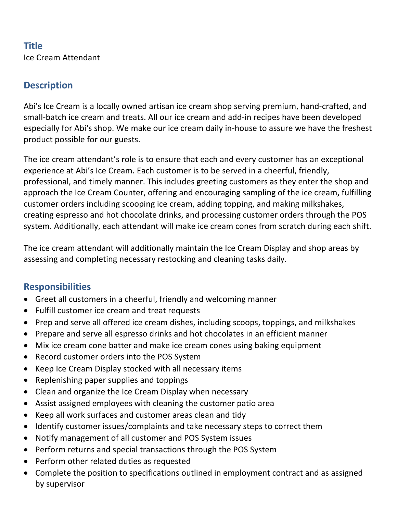# **Title** Ice Cream Attendant

## **Description**

Abi's Ice Cream is a locally owned artisan ice cream shop serving premium, hand-crafted, and small-batch ice cream and treats. All our ice cream and add-in recipes have been developed especially for Abi's shop. We make our ice cream daily in-house to assure we have the freshest product possible for our guests.

The ice cream attendant's role is to ensure that each and every customer has an exceptional experience at Abi's Ice Cream. Each customer is to be served in a cheerful, friendly, professional, and timely manner. This includes greeting customers as they enter the shop and approach the Ice Cream Counter, offering and encouraging sampling of the ice cream, fulfilling customer orders including scooping ice cream, adding topping, and making milkshakes, creating espresso and hot chocolate drinks, and processing customer orders through the POS system. Additionally, each attendant will make ice cream cones from scratch during each shift.

The ice cream attendant will additionally maintain the Ice Cream Display and shop areas by assessing and completing necessary restocking and cleaning tasks daily.

#### **Responsibilities**

- Greet all customers in a cheerful, friendly and welcoming manner
- Fulfill customer ice cream and treat requests
- Prep and serve all offered ice cream dishes, including scoops, toppings, and milkshakes
- Prepare and serve all espresso drinks and hot chocolates in an efficient manner
- Mix ice cream cone batter and make ice cream cones using baking equipment
- Record customer orders into the POS System
- Keep Ice Cream Display stocked with all necessary items
- Replenishing paper supplies and toppings
- Clean and organize the Ice Cream Display when necessary
- Assist assigned employees with cleaning the customer patio area
- Keep all work surfaces and customer areas clean and tidy
- Identify customer issues/complaints and take necessary steps to correct them
- Notify management of all customer and POS System issues
- Perform returns and special transactions through the POS System
- Perform other related duties as requested
- Complete the position to specifications outlined in employment contract and as assigned by supervisor